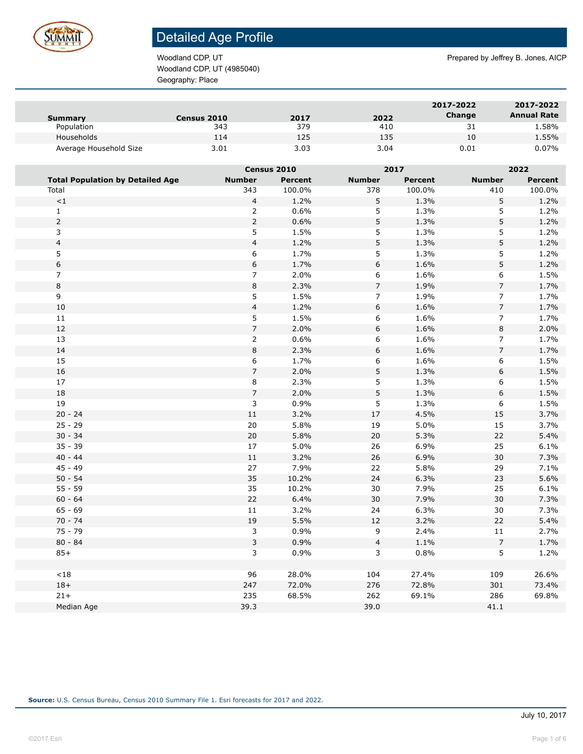

Woodland CDP, UT (4985040) Geography: Place

Woodland CDP, UT **Prepared by Jeffrey B. Jones, AICP** Prepared by Jeffrey B. Jones, AICP

| Summary                | <b>Census 2010</b> | 2017 | 2022 | 2017-2022<br>Change | 2017-2022<br><b>Annual Rate</b> |
|------------------------|--------------------|------|------|---------------------|---------------------------------|
| Population             | 343                | 379  | 410  | 31                  | 1.58%                           |
| Households             | 114                | 125  | 135  | 10                  | 1.55%                           |
| Average Household Size | 3.01               | 3.03 | 3.04 | 0.01                | 0.07%                           |

|                                         |                         | Census 2010    |                | 2017           |                | 2022           |  |
|-----------------------------------------|-------------------------|----------------|----------------|----------------|----------------|----------------|--|
| <b>Total Population by Detailed Age</b> | <b>Number</b>           | <b>Percent</b> | <b>Number</b>  | <b>Percent</b> | <b>Number</b>  | <b>Percent</b> |  |
| Total                                   | 343                     | 100.0%         | 378            | 100.0%         | 410            | 100.0%         |  |
| $\!<\!1$                                | $\overline{4}$          | 1.2%           | 5              | 1.3%           | 5              | 1.2%           |  |
| $1\,$                                   | $\overline{2}$          | 0.6%           | 5              | 1.3%           | 5              | 1.2%           |  |
| $\overline{2}$                          | $\overline{2}$          | 0.6%           | 5              | 1.3%           | 5              | 1.2%           |  |
| $\overline{3}$                          | 5                       | 1.5%           | 5              | 1.3%           | 5              | 1.2%           |  |
| $\overline{4}$                          | $\overline{4}$          | 1.2%           | 5              | 1.3%           | 5              | 1.2%           |  |
| 5                                       | 6                       | 1.7%           | 5              | 1.3%           | 5              | 1.2%           |  |
| $\boldsymbol{6}$                        | 6                       | 1.7%           | $\,$ 6 $\,$    | 1.6%           | 5              | 1.2%           |  |
| $\overline{7}$                          | $\overline{7}$          | 2.0%           | 6              | 1.6%           | 6              | 1.5%           |  |
| $\bf 8$                                 | $\,8\,$                 | 2.3%           | $\overline{7}$ | 1.9%           | $\overline{7}$ | 1.7%           |  |
| $\overline{9}$                          | 5                       | 1.5%           | $\overline{7}$ | 1.9%           | $\overline{7}$ | 1.7%           |  |
| 10                                      | $\overline{\mathbf{4}}$ | 1.2%           | 6              | 1.6%           | $\overline{7}$ | 1.7%           |  |
| 11                                      | 5                       | 1.5%           | 6              | 1.6%           | $\overline{7}$ | 1.7%           |  |
| $12\,$                                  | $\overline{7}$          | 2.0%           | 6              | 1.6%           | 8              | 2.0%           |  |
| 13                                      | $\overline{2}$          | 0.6%           | 6              | 1.6%           | $\overline{7}$ | 1.7%           |  |
| $14\,$                                  | $\,8\,$                 | 2.3%           | 6              | 1.6%           | $\overline{7}$ | 1.7%           |  |
| 15                                      | 6                       | 1.7%           | 6              | 1.6%           | 6              | 1.5%           |  |
| $16\,$                                  | $\overline{7}$          | 2.0%           | 5              | 1.3%           | 6              | 1.5%           |  |
| 17                                      | 8                       | 2.3%           | 5              | 1.3%           | 6              | 1.5%           |  |
| $18\,$                                  | $\overline{7}$          | 2.0%           | 5              | 1.3%           | 6              | 1.5%           |  |
| 19                                      | 3                       | 0.9%           | 5              | 1.3%           | 6              | 1.5%           |  |
| $20 - 24$                               | 11                      | 3.2%           | 17             | 4.5%           | 15             | 3.7%           |  |
| $25 - 29$                               | 20                      | 5.8%           | 19             | 5.0%           | 15             | 3.7%           |  |
| $30 - 34$                               | 20                      | 5.8%           | 20             | 5.3%           | 22             | 5.4%           |  |
| $35 - 39$                               | $17\,$                  | 5.0%           | 26             | 6.9%           | 25             | 6.1%           |  |
| $40 - 44$                               | $11\,$                  | 3.2%           | 26             | 6.9%           | 30             | 7.3%           |  |
| $45 - 49$                               | 27                      | 7.9%           | 22             | 5.8%           | 29             | 7.1%           |  |
| $50 - 54$                               | 35                      | 10.2%          | 24             | 6.3%           | 23             | 5.6%           |  |
| $55 - 59$                               | 35                      | 10.2%          | 30             | 7.9%           | 25             | 6.1%           |  |
| $60 - 64$                               | 22                      | 6.4%           | $30\,$         | 7.9%           | 30             | 7.3%           |  |
| $65 - 69$                               | 11                      | 3.2%           | 24             | 6.3%           | 30             | 7.3%           |  |
| $70 - 74$                               | 19                      | 5.5%           | $12\,$         | 3.2%           | 22             | 5.4%           |  |
| $75 - 79$                               | $\mathbf{3}$            | 0.9%           | 9              | 2.4%           | 11             | 2.7%           |  |
| $80 - 84$                               | 3                       | 0.9%           | $\overline{4}$ | 1.1%           | $\overline{7}$ | 1.7%           |  |
| $85+$                                   | 3                       | 0.9%           | 3              | 0.8%           | 5              | 1.2%           |  |
|                                         |                         |                |                |                |                |                |  |
| ${<}18$                                 | 96                      | 28.0%          | 104            | 27.4%          | 109            | 26.6%          |  |
| $18+$                                   | 247                     | 72.0%          | 276            | 72.8%          | 301            | 73.4%          |  |
| $21+$                                   | 235                     | 68.5%          | 262            | 69.1%          | 286            | 69.8%          |  |
| Median Age                              | 39.3                    |                | 39.0           |                | 41.1           |                |  |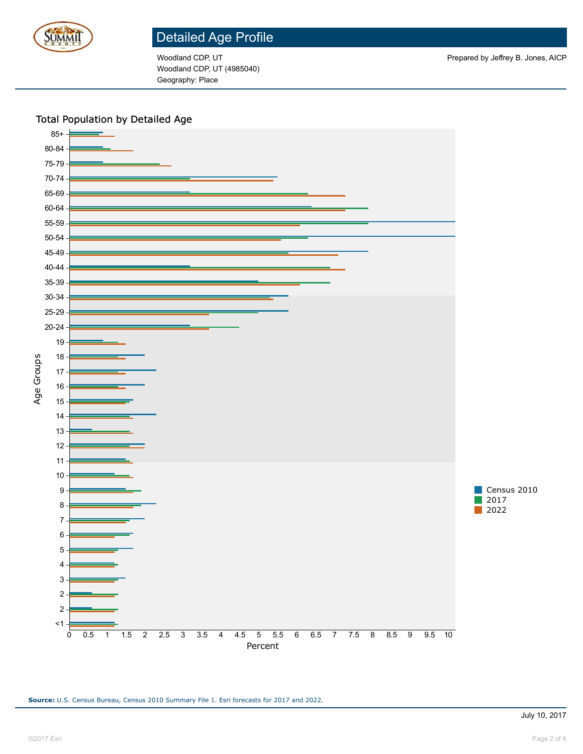

Woodland CDP, UT (4985040) Geography: Place

#### Total Population by Detailed Age

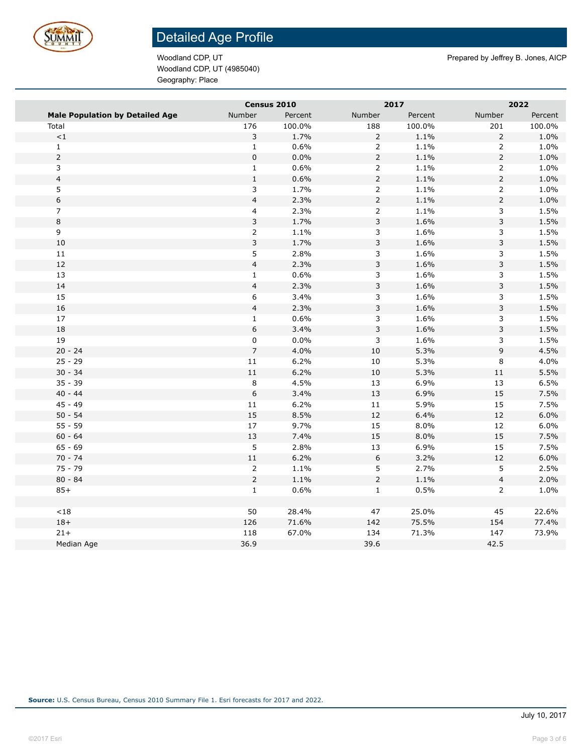

Woodland CDP, UT (4985040) Geography: Place

Woodland CDP, UT **Prepared by Jeffrey B. Jones, AICP** Prepared by Jeffrey B. Jones, AICP

|                                        | Census 2010             |         |                | 2017    |                         | 2022    |  |
|----------------------------------------|-------------------------|---------|----------------|---------|-------------------------|---------|--|
| <b>Male Population by Detailed Age</b> | Number                  | Percent | Number         | Percent | Number                  | Percent |  |
| Total                                  | 176                     | 100.0%  | 188            | 100.0%  | 201                     | 100.0%  |  |
| $\mathord{<}1$                         | 3                       | 1.7%    | $\overline{2}$ | 1.1%    | $\overline{2}$          | 1.0%    |  |
| $\mathbf 1$                            | $\mathbf 1$             | 0.6%    | $\overline{2}$ | 1.1%    | $\overline{2}$          | 1.0%    |  |
| $\overline{2}$                         | $\pmb{0}$               | 0.0%    | $\overline{2}$ | 1.1%    | $\overline{c}$          | 1.0%    |  |
| 3                                      | $\mathbf{1}$            | 0.6%    | $\overline{2}$ | 1.1%    | $\overline{2}$          | 1.0%    |  |
| $\overline{4}$                         | $1\,$                   | 0.6%    | $\overline{2}$ | 1.1%    | $\overline{2}$          | 1.0%    |  |
| 5                                      | 3                       | 1.7%    | $\overline{2}$ | 1.1%    | $\overline{2}$          | 1.0%    |  |
| 6                                      | $\overline{4}$          | 2.3%    | $\overline{2}$ | 1.1%    | $\overline{2}$          | 1.0%    |  |
| $\overline{7}$                         | $\overline{\mathbf{4}}$ | 2.3%    | $\overline{2}$ | 1.1%    | 3                       | 1.5%    |  |
| 8                                      | $\mathbf{3}$            | 1.7%    | 3              | 1.6%    | 3                       | 1.5%    |  |
| 9                                      | $\overline{2}$          | 1.1%    | 3              | 1.6%    | 3                       | 1.5%    |  |
| 10                                     | 3                       | 1.7%    | 3              | 1.6%    | 3                       | 1.5%    |  |
| 11                                     | 5                       | 2.8%    | 3              | 1.6%    | 3                       | 1.5%    |  |
| $12\,$                                 | $\overline{4}$          | 2.3%    | 3              | 1.6%    | 3                       | 1.5%    |  |
| 13                                     | $\mathbf{1}$            | 0.6%    | 3              | 1.6%    | 3                       | 1.5%    |  |
| 14                                     | $\overline{\mathbf{4}}$ | 2.3%    | 3              | 1.6%    | 3                       | 1.5%    |  |
| 15                                     | 6                       | 3.4%    | 3              | 1.6%    | 3                       | 1.5%    |  |
| 16                                     | $\overline{4}$          | 2.3%    | 3              | 1.6%    | 3                       | 1.5%    |  |
| 17                                     | $\mathbf 1$             | 0.6%    | 3              | 1.6%    | 3                       | 1.5%    |  |
| 18                                     | $\mathsf 6$             | 3.4%    | 3              | 1.6%    | 3                       | 1.5%    |  |
| 19                                     | 0                       | 0.0%    | 3              | 1.6%    | 3                       | 1.5%    |  |
| $20 - 24$                              | $\overline{7}$          | 4.0%    | $10\,$         | 5.3%    | 9                       | 4.5%    |  |
| $25 - 29$                              | $11\,$                  | 6.2%    | $10\,$         | 5.3%    | 8                       | 4.0%    |  |
| $30 - 34$                              | $11\,$                  | 6.2%    | 10             | 5.3%    | $11\,$                  | 5.5%    |  |
| $35 - 39$                              | $\bf 8$                 | 4.5%    | 13             | 6.9%    | 13                      | 6.5%    |  |
| $40 - 44$                              | $\,$ 6 $\,$             | 3.4%    | 13             | 6.9%    | 15                      | 7.5%    |  |
| $45 - 49$                              | $11\,$                  | 6.2%    | $11\,$         | 5.9%    | 15                      | 7.5%    |  |
| $50 - 54$                              | 15                      | 8.5%    | $12\,$         | 6.4%    | 12                      | 6.0%    |  |
| $55 - 59$                              | $17\,$                  | 9.7%    | 15             | 8.0%    | 12                      | 6.0%    |  |
| $60 - 64$                              | $13\,$                  | 7.4%    | 15             | 8.0%    | 15                      | 7.5%    |  |
| $65 - 69$                              | 5                       | 2.8%    | $13\,$         | 6.9%    | 15                      | 7.5%    |  |
| $70 - 74$                              | $11\,$                  | 6.2%    | 6              | 3.2%    | $12\,$                  | 6.0%    |  |
| $75 - 79$                              | $\overline{2}$          | 1.1%    | 5              | 2.7%    | 5                       | 2.5%    |  |
| $80 - 84$                              | $\overline{2}$          | 1.1%    | $\overline{2}$ | 1.1%    | $\overline{\mathbf{4}}$ | 2.0%    |  |
| $85+$                                  | $\mathbf{1}$            | 0.6%    | $\mathbf 1$    | 0.5%    | $\overline{2}$          | 1.0%    |  |
|                                        |                         |         |                |         |                         |         |  |
| ${<}18$                                | 50                      | 28.4%   | 47             | 25.0%   | 45                      | 22.6%   |  |
| $18+$                                  | 126                     | 71.6%   | 142            | 75.5%   | 154                     | 77.4%   |  |
| $21+$                                  | 118                     | 67.0%   | 134            | 71.3%   | 147                     | 73.9%   |  |
| Median Age                             | 36.9                    |         | 39.6           |         | 42.5                    |         |  |
|                                        |                         |         |                |         |                         |         |  |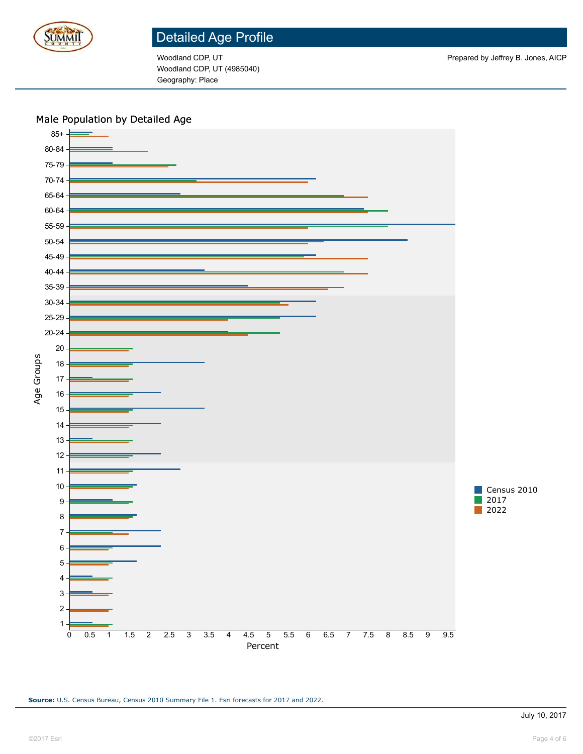

Woodland CDP, UT (4985040) Geography: Place

#### Male Population by Detailed Age

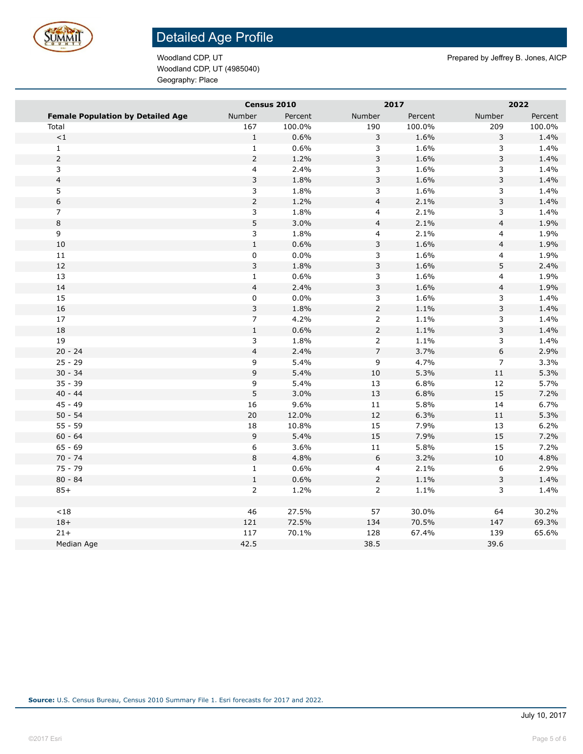

Woodland CDP, UT (4985040) Geography: Place

Woodland CDP, UT **Prepared by Jeffrey B. Jones, AICP** Prepared by Jeffrey B. Jones, AICP

|                                          |                           | Census 2010 |                          | 2017    |                           | 2022    |
|------------------------------------------|---------------------------|-------------|--------------------------|---------|---------------------------|---------|
| <b>Female Population by Detailed Age</b> | Number                    | Percent     | Number                   | Percent | Number                    | Percent |
| Total                                    | 167                       | 100.0%      | 190                      | 100.0%  | 209                       | 100.0%  |
| $\mathord{<}1$                           | $\mathbf 1$               | 0.6%        | 3                        | 1.6%    | 3                         | 1.4%    |
| $\mathbf 1$                              | $1\,$                     | 0.6%        | 3                        | 1.6%    | 3                         | 1.4%    |
| $\overline{2}$                           | $\overline{2}$            | 1.2%        | $\mathsf{3}$             | 1.6%    | $\mathsf 3$               | 1.4%    |
| 3                                        | $\overline{\mathbf{4}}$   | 2.4%        | 3                        | 1.6%    | 3                         | 1.4%    |
| $\overline{\mathbf{4}}$                  | $\ensuremath{\mathsf{3}}$ | 1.8%        | $\mathsf 3$              | 1.6%    | $\ensuremath{\mathsf{3}}$ | 1.4%    |
| 5                                        | $\mathbf{3}$              | 1.8%        | 3                        | 1.6%    | 3                         | 1.4%    |
| $\,$ 6 $\,$                              | $\overline{2}$            | 1.2%        | $\overline{\mathbf{4}}$  | 2.1%    | $\ensuremath{\mathsf{3}}$ | 1.4%    |
| $\overline{7}$                           | $\overline{3}$            | 1.8%        | $\overline{4}$           | 2.1%    | 3                         | 1.4%    |
| $\,8\,$                                  | $\sqrt{5}$                | 3.0%        | $\overline{\mathbf{4}}$  | 2.1%    | $\overline{\mathbf{4}}$   | 1.9%    |
| 9                                        | $\mathsf 3$               | 1.8%        | $\overline{\mathbf{4}}$  | 2.1%    | $\overline{\mathbf{4}}$   | 1.9%    |
| $10\,$                                   | $\mathbf 1$               | 0.6%        | $\mathsf 3$              | 1.6%    | $\overline{\mathbf{4}}$   | 1.9%    |
| $11\,$                                   | 0                         | 0.0%        | 3                        | 1.6%    | 4                         | 1.9%    |
| 12                                       | $\mathsf{3}$              | 1.8%        | $\mathsf 3$              | 1.6%    | $\mathsf S$               | 2.4%    |
| 13                                       | $\mathbf{1}$              | 0.6%        | $\mathsf{3}$             | 1.6%    | $\overline{\mathbf{4}}$   | 1.9%    |
| 14                                       | $\overline{\mathbf{4}}$   | 2.4%        | $\mathsf{3}$             | 1.6%    | $\overline{\mathbf{4}}$   | 1.9%    |
| 15                                       | $\pmb{0}$                 | 0.0%        | $\overline{\mathbf{3}}$  | 1.6%    | 3                         | 1.4%    |
| 16                                       | $\mathsf 3$               | 1.8%        | $\overline{2}$           | 1.1%    | $\mathsf 3$               | 1.4%    |
| $17\,$                                   | $\overline{7}$            | 4.2%        | $\overline{2}$           | 1.1%    | $\ensuremath{\mathsf{3}}$ | 1.4%    |
| 18                                       | $\mathbf 1$               | 0.6%        | $\overline{2}$           | 1.1%    | $\mathsf 3$               | 1.4%    |
| 19                                       | $\overline{3}$            | 1.8%        | $\overline{2}$           | 1.1%    | 3                         | 1.4%    |
| $20 - 24$                                | $\overline{\mathbf{4}}$   | 2.4%        | $\overline{\phantom{a}}$ | 3.7%    | $\boldsymbol{6}$          | 2.9%    |
| $25 - 29$                                | 9                         | 5.4%        | 9                        | 4.7%    | $\overline{7}$            | 3.3%    |
| $30 - 34$                                | $\mathsf 9$               | 5.4%        | 10                       | 5.3%    | 11                        | 5.3%    |
| $35 - 39$                                | 9                         | 5.4%        | 13                       | 6.8%    | 12                        | 5.7%    |
| $40 - 44$                                | $\sqrt{5}$                | 3.0%        | 13                       | 6.8%    | 15                        | 7.2%    |
| $45 - 49$                                | 16                        | 9.6%        | $11\,$                   | 5.8%    | 14                        | 6.7%    |
| $50 - 54$                                | 20                        | 12.0%       | 12                       | 6.3%    | $11\,$                    | 5.3%    |
| $55 - 59$                                | 18                        | 10.8%       | 15                       | 7.9%    | 13                        | 6.2%    |
| $60 - 64$                                | $\mathsf 9$               | 5.4%        | 15                       | 7.9%    | 15                        | 7.2%    |
| $65 - 69$                                | 6                         | 3.6%        | 11                       | 5.8%    | 15                        | 7.2%    |
| $70 - 74$                                | $\,8\,$                   | 4.8%        | $\boldsymbol{6}$         | 3.2%    | $10\,$                    | 4.8%    |
| $75 - 79$                                | $\mathbf 1$               | 0.6%        | $\overline{\mathbf{4}}$  | 2.1%    | 6                         | 2.9%    |
| $80 - 84$                                | $\mathbf 1$               | 0.6%        | $\overline{2}$           | 1.1%    | 3                         | 1.4%    |
| $85+$                                    | $\overline{2}$            | 1.2%        | $\overline{2}$           | 1.1%    | 3                         | 1.4%    |
|                                          |                           |             |                          |         |                           |         |
| ${<}18$                                  | 46                        | 27.5%       | 57                       | 30.0%   | 64                        | 30.2%   |
| $18+$                                    | 121                       | 72.5%       | 134                      | 70.5%   | 147                       | 69.3%   |
| $21 +$                                   | 117                       | 70.1%       | 128                      | 67.4%   | 139                       | 65.6%   |
| Median Age                               | 42.5                      |             | 38.5                     |         | 39.6                      |         |
|                                          |                           |             |                          |         |                           |         |